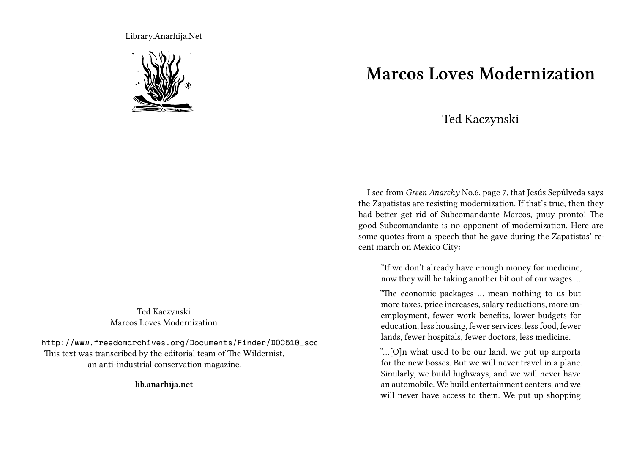Library.Anarhija.Net



Ted Kaczynski Marcos Loves Modernization

http://www.freedomarchives.org/Documents/Finder/DOC510\_scc This text was transcribed by the editorial team of The Wildernist, an anti-industrial conservation magazine.

**lib.anarhija.net**

## **Marcos Loves Modernization**

## Ted Kaczynski

I see from *Green Anarchy* No.6, page 7, that Jesús Sepúlveda says the Zapatistas are resisting modernization. If that's true, then they had better get rid of Subcomandante Marcos, ¡muy pronto! The good Subcomandante is no opponent of modernization. Here are some quotes from a speech that he gave during the Zapatistas' recent march on Mexico City:

"If we don't already have enough money for medicine, now they will be taking another bit out of our wages …

"The economic packages … mean nothing to us but more taxes, price increases, salary reductions, more unemployment, fewer work benefits, lower budgets for education, less housing, fewer services, less food, fewer lands, fewer hospitals, fewer doctors, less medicine.

"…[O]n what used to be our land, we put up airports for the new bosses. But we will never travel in a plane. Similarly, we build highways, and we will never have an automobile. We build entertainment centers, and we will never have access to them. We put up shopping